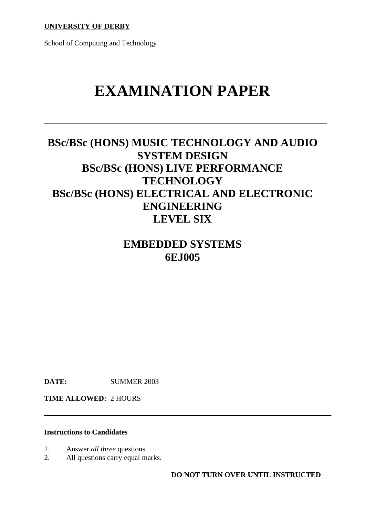**UNIVERSITY OF DERBY**

School of Computing and Technology

# **EXAMINATION PAPER**

## **BSc/BSc (HONS) MUSIC TECHNOLOGY AND AUDIO SYSTEM DESIGN BSc/BSc (HONS) LIVE PERFORMANCE TECHNOLOGY BSc/BSc (HONS) ELECTRICAL AND ELECTRONIC ENGINEERING LEVEL SIX**

## **EMBEDDED SYSTEMS 6EJ005**

**DATE:** SUMMER 2003

**TIME ALLOWED:** 2 HOURS

#### **Instructions to Candidates**

- 1. Answer *all three* questions.
- 2. All questions carry equal marks.

**DO NOT TURN OVER UNTIL INSTRUCTED**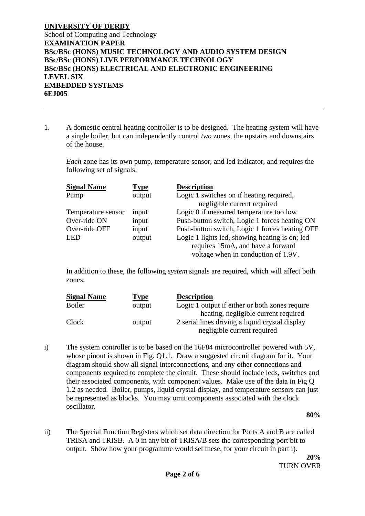1. A domestic central heating controller is to be designed. The heating system will have a single boiler, but can independently control *two* zones, the upstairs and downstairs of the house.

*Each* zone has its own pump, temperature sensor, and led indicator, and requires the following set of signals:

| <b>Signal Name</b> | <b>Type</b> | <b>Description</b>                             |
|--------------------|-------------|------------------------------------------------|
| Pump               | output      | Logic 1 switches on if heating required,       |
|                    |             | negligible current required                    |
| Temperature sensor | input       | Logic 0 if measured temperature too low        |
| Over-ride ON       | input       | Push-button switch, Logic 1 forces heating ON  |
| Over-ride OFF      | input       | Push-button switch, Logic 1 forces heating OFF |
| <b>LED</b>         | output      | Logic 1 lights led, showing heating is on; led |
|                    |             | requires 15mA, and have a forward              |
|                    |             | voltage when in conduction of 1.9V.            |

In addition to these, the following *system* signals are required, which will affect both zones:

| <b>Signal Name</b> | <b>Type</b> | <b>Description</b>                              |
|--------------------|-------------|-------------------------------------------------|
| <b>Boiler</b>      | output      | Logic 1 output if either or both zones require  |
|                    |             | heating, negligible current required            |
| Clock              | output      | 2 serial lines driving a liquid crystal display |
|                    |             | negligible current required                     |

i) The system controller is to be based on the 16F84 microcontroller powered with 5V, whose pinout is shown in Fig. 01.1. Draw a suggested circuit diagram for it. Your diagram should show all signal interconnections, and any other connections and components required to complete the circuit. These should include leds, switches and their associated components, with component values. Make use of the data in Fig Q 1.2 as needed. Boiler, pumps, liquid crystal display, and temperature sensors can just be represented as blocks. You may omit components associated with the clock oscillator.

**80%**

ii) The Special Function Registers which set data direction for Ports A and B are called TRISA and TRISB. A 0 in any bit of TRISA/B sets the corresponding port bit to output. Show how your programme would set these, for your circuit in part i).

**20%** TURN OVER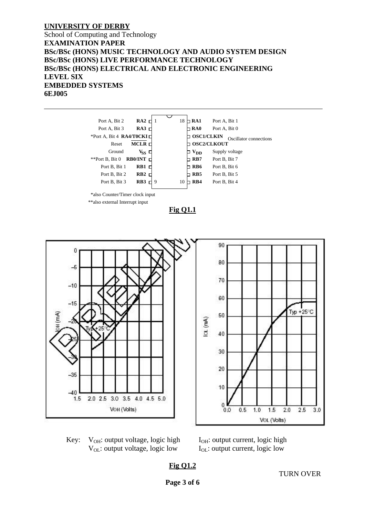#### **UNIVERSITY OF DERBY**

#### School of Computing and Technology **EXAMINATION PAPER BSc/BSc (HONS) MUSIC TECHNOLOGY AND AUDIO SYSTEM DESIGN BSc/BSc (HONS) LIVE PERFORMANCE TECHNOLOGY BSc/BSc (HONS) ELECTRICAL AND ELECTRONIC ENGINEERING LEVEL SIX EMBEDDED SYSTEMS 6EJ005**





Key:  $V_{OH}$ : output voltage, logic high  $I_{OH}$ : output current, logic high  $V_{\text{OL}}$ : output voltage, logic low  $I_{\text{OL}}$ : output current, logic low

**Fig Q1.2**

TURN OVER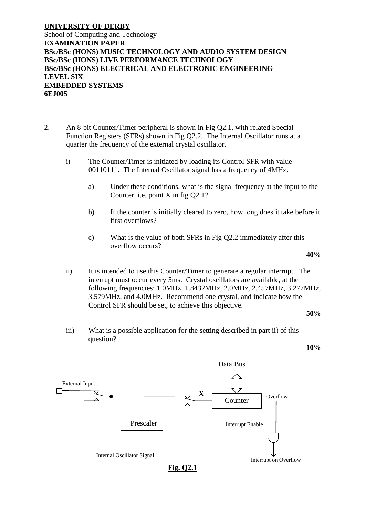- 2. An 8-bit Counter/Timer peripheral is shown in Fig Q2.1, with related Special Function Registers (SFRs) shown in Fig Q2.2. The Internal Oscillator runs at a quarter the frequency of the external crystal oscillator.
	- i) The Counter/Timer is initiated by loading its Control SFR with value 00110111. The Internal Oscillator signal has a frequency of 4MHz.
		- a) Under these conditions, what is the signal frequency at the input to the Counter, i.e. point X in fig Q2.1?
		- b) If the counter is initially cleared to zero, how long does it take before it first overflows?
		- c) What is the value of both SFRs in Fig Q2.2 immediately after this overflow occurs?

#### **40%**

ii) It is intended to use this Counter/Timer to generate a regular interrupt. The interrupt must occur every 5ms. Crystal oscillators are available, at the following frequencies: 1.0MHz, 1.8432MHz, 2.0MHz, 2.457MHz, 3.277MHz, 3.579MHz, and 4.0MHz. Recommend one crystal, and indicate how the Control SFR should be set, to achieve this objective.

**50%**

iii) What is a possible application for the setting described in part ii) of this question?

Data Bus External Input  $\Box$ **X Overflow** Counter Prescaler Interrupt Enable Internal Oscillator Signal Interrupt on Overflow **Fig. Q2.1**

**10%**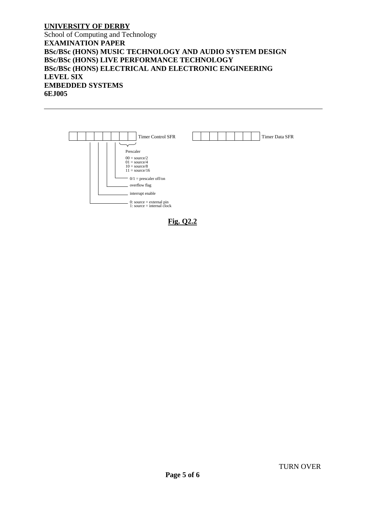

**Fig. Q2.2**